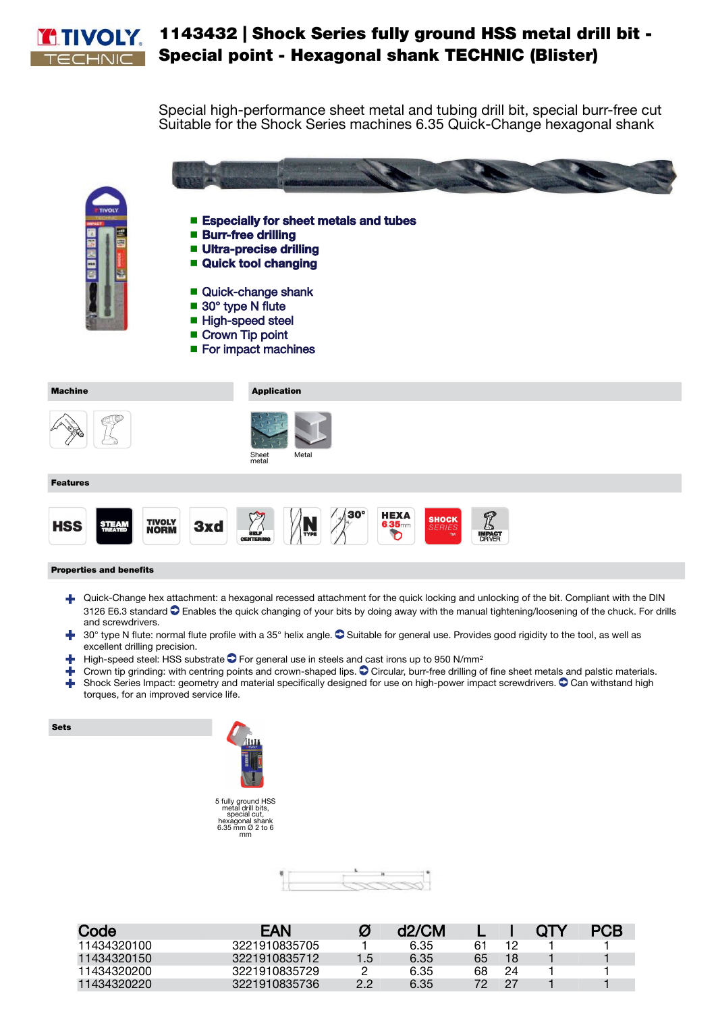

## 1143432 | Shock Series fully ground HSS metal drill bit - Special point - Hexagonal shank TECHNIC (Blister)

Special high-performance sheet metal and tubing drill bit, special burr-free cut Suitable for the Shock Series machines 6.35 Quick-Change hexagonal shank



- Burr-free drilling
- Ultra-precise drilling
- Quick tool changing
- Quick-change shank
- 30° type N flute
- High-speed steel
- Crown Tip point
- For impact machines



## Properties and benefits

- Quick-Change hex attachment: a hexagonal recessed attachment for the quick locking and unlocking of the bit. Compliant with the DIN 3126 E6.3 standard C Enables the quick changing of your bits by doing away with the manual tightening/loosening of the chuck. For drills and screwdrivers.
- <sup>1</sup> 30° type N flute: normal flute profile with a 35° helix angle. <sup>O</sup> Suitable for general use. Provides good rigidity to the tool, as well as excellent drilling precision.
- $\blacktriangle$  High-speed steel: HSS substrate  $\bigcirc$  For general use in steels and cast irons up to 950 N/mm<sup>2</sup>
- Crown tip grinding: with centring points and crown-shaped lips.  $\bullet$  Circular, burr-free drilling of fine sheet metals and palstic materials. Shock Series Impact: geometry and material specifically designed for use on high-power impact screwdrivers. <sup>O</sup> Can withstand high

torques, for an improved service life.







| Code        | EAN           | Ø   | d2/CM |    |    | OTY | <b>PCB</b> |
|-------------|---------------|-----|-------|----|----|-----|------------|
| 11434320100 | 3221910835705 |     | 6.35  | 61 |    |     |            |
| 11434320150 | 3221910835712 | 1.5 | 6.35  | 65 | 18 |     |            |
| 11434320200 | 3221910835729 |     | 6.35  | 68 | 24 |     |            |
| 11434320220 | 3221910835736 | 2.2 | 6.35  | 72 | 27 |     |            |